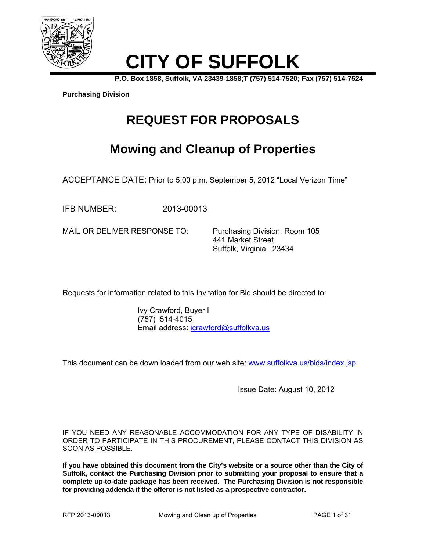

# **CITY OF SUFFOLK**

**P.O. Box 1858, Suffolk, VA 23439-1858;T (757) 514-7520; Fax (757) 514-7524** 

**Purchasing Division**

# **REQUEST FOR PROPOSALS**

# **Mowing and Cleanup of Properties**

ACCEPTANCE DATE: Prior to 5:00 p.m. September 5, 2012 "Local Verizon Time"

IFB NUMBER: 2013-00013

MAIL OR DELIVER RESPONSE TO: Purchasing Division, Room 105

 441 Market Street Suffolk, Virginia 23434

Requests for information related to this Invitation for Bid should be directed to:

 Ivy Crawford, Buyer I (757) 514-4015 Email address: icrawford@suffolkva.us

This document can be down loaded from our web site: www.suffolkva.us/bids/index.jsp

Issue Date: August 10, 2012

IF YOU NEED ANY REASONABLE ACCOMMODATION FOR ANY TYPE OF DISABILITY IN ORDER TO PARTICIPATE IN THIS PROCUREMENT, PLEASE CONTACT THIS DIVISION AS SOON AS POSSIBLE.

**If you have obtained this document from the City's website or a source other than the City of Suffolk, contact the Purchasing Division prior to submitting your proposal to ensure that a complete up-to-date package has been received. The Purchasing Division is not responsible for providing addenda if the offeror is not listed as a prospective contractor.**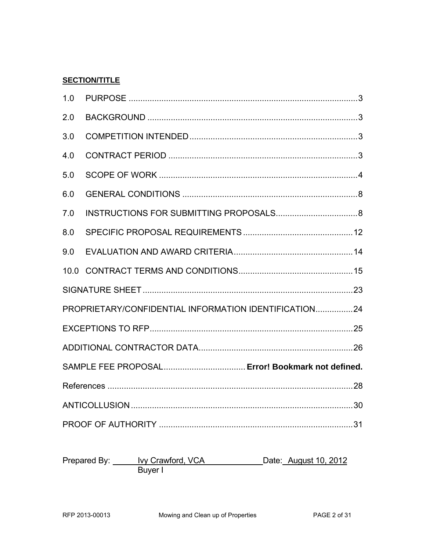#### **SECTION/TITLE**

| 1.0                                                   |  |  |  |
|-------------------------------------------------------|--|--|--|
| 2.0                                                   |  |  |  |
| 3.0                                                   |  |  |  |
| 4.0                                                   |  |  |  |
| 5.0                                                   |  |  |  |
| 6.0                                                   |  |  |  |
| 7.0                                                   |  |  |  |
| 8.0                                                   |  |  |  |
| 9.0                                                   |  |  |  |
|                                                       |  |  |  |
|                                                       |  |  |  |
| PROPRIETARY/CONFIDENTIAL INFORMATION IDENTIFICATION24 |  |  |  |
|                                                       |  |  |  |
|                                                       |  |  |  |
| SAMPLE FEE PROPOSAL Error! Bookmark not defined.      |  |  |  |
|                                                       |  |  |  |
|                                                       |  |  |  |
|                                                       |  |  |  |

Prepared By: <u>Ivy Crawford, VCA</u> Date: August 10, 2012<br>Buyer I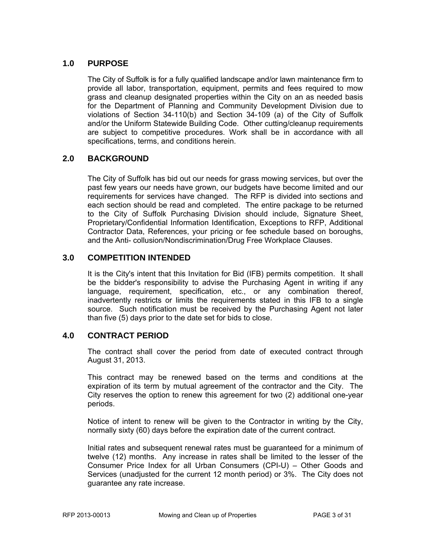#### **1.0 PURPOSE**

 The City of Suffolk is for a fully qualified landscape and/or lawn maintenance firm to provide all labor, transportation, equipment, permits and fees required to mow grass and cleanup designated properties within the City on an as needed basis for the Department of Planning and Community Development Division due to violations of Section 34-110(b) and Section 34-109 (a) of the City of Suffolk and/or the Uniform Statewide Building Code. Other cutting/cleanup requirements are subject to competitive procedures. Work shall be in accordance with all specifications, terms, and conditions herein.

#### **2.0 BACKGROUND**

 The City of Suffolk has bid out our needs for grass mowing services, but over the past few years our needs have grown, our budgets have become limited and our requirements for services have changed. The RFP is divided into sections and each section should be read and completed. The entire package to be returned to the City of Suffolk Purchasing Division should include, Signature Sheet, Proprietary/Confidential Information Identification, Exceptions to RFP, Additional Contractor Data, References, your pricing or fee schedule based on boroughs, and the Anti- collusion/Nondiscrimination/Drug Free Workplace Clauses.

#### **3.0 COMPETITION INTENDED**

 It is the City's intent that this Invitation for Bid (IFB) permits competition. It shall be the bidder's responsibility to advise the Purchasing Agent in writing if any language, requirement, specification, etc., or any combination thereof, inadvertently restricts or limits the requirements stated in this IFB to a single source. Such notification must be received by the Purchasing Agent not later than five (5) days prior to the date set for bids to close.

#### **4.0 CONTRACT PERIOD**

 The contract shall cover the period from date of executed contract through August 31, 2013.

 This contract may be renewed based on the terms and conditions at the expiration of its term by mutual agreement of the contractor and the City. The City reserves the option to renew this agreement for two (2) additional one-year periods.

Notice of intent to renew will be given to the Contractor in writing by the City, normally sixty (60) days before the expiration date of the current contract.

Initial rates and subsequent renewal rates must be guaranteed for a minimum of twelve (12) months. Any increase in rates shall be limited to the lesser of the Consumer Price Index for all Urban Consumers (CPI-U) – Other Goods and Services (unadjusted for the current 12 month period) or 3%. The City does not guarantee any rate increase.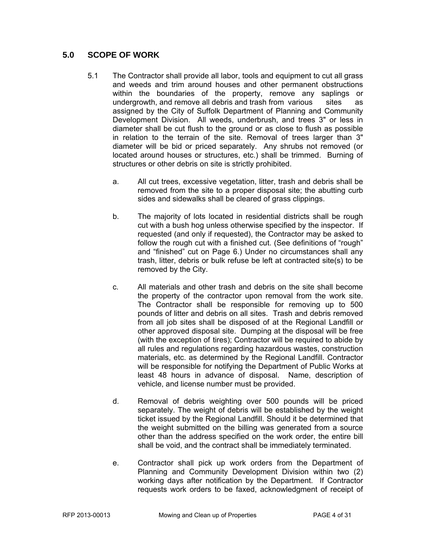#### **5.0 SCOPE OF WORK**

- 5.1 The Contractor shall provide all labor, tools and equipment to cut all grass and weeds and trim around houses and other permanent obstructions within the boundaries of the property, remove any saplings or undergrowth, and remove all debris and trash from various sites as assigned by the City of Suffolk Department of Planning and Community Development Division. All weeds, underbrush, and trees 3" or less in diameter shall be cut flush to the ground or as close to flush as possible in relation to the terrain of the site. Removal of trees larger than 3" diameter will be bid or priced separately. Any shrubs not removed (or located around houses or structures, etc.) shall be trimmed. Burning of structures or other debris on site is strictly prohibited.
	- a. All cut trees, excessive vegetation, litter, trash and debris shall be removed from the site to a proper disposal site; the abutting curb sides and sidewalks shall be cleared of grass clippings.
	- b. The majority of lots located in residential districts shall be rough cut with a bush hog unless otherwise specified by the inspector. If requested (and only if requested), the Contractor may be asked to follow the rough cut with a finished cut. (See definitions of "rough" and "finished" cut on Page 6.) Under no circumstances shall any trash, litter, debris or bulk refuse be left at contracted site(s) to be removed by the City.
	- c. All materials and other trash and debris on the site shall become the property of the contractor upon removal from the work site. The Contractor shall be responsible for removing up to 500 pounds of litter and debris on all sites. Trash and debris removed from all job sites shall be disposed of at the Regional Landfill or other approved disposal site. Dumping at the disposal will be free (with the exception of tires); Contractor will be required to abide by all rules and regulations regarding hazardous wastes, construction materials, etc. as determined by the Regional Landfill. Contractor will be responsible for notifying the Department of Public Works at least 48 hours in advance of disposal. Name, description of vehicle, and license number must be provided.
	- d. Removal of debris weighting over 500 pounds will be priced separately. The weight of debris will be established by the weight ticket issued by the Regional Landfill. Should it be determined that the weight submitted on the billing was generated from a source other than the address specified on the work order, the entire bill shall be void, and the contract shall be immediately terminated.
	- e. Contractor shall pick up work orders from the Department of Planning and Community Development Division within two (2) working days after notification by the Department. If Contractor requests work orders to be faxed, acknowledgment of receipt of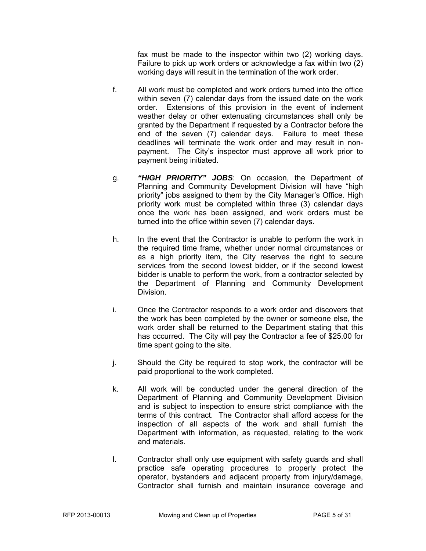fax must be made to the inspector within two (2) working days. Failure to pick up work orders or acknowledge a fax within two (2) working days will result in the termination of the work order.

- f. All work must be completed and work orders turned into the office within seven (7) calendar days from the issued date on the work order. Extensions of this provision in the event of inclement weather delay or other extenuating circumstances shall only be granted by the Department if requested by a Contractor before the end of the seven (7) calendar days. Failure to meet these deadlines will terminate the work order and may result in nonpayment. The City's inspector must approve all work prior to payment being initiated.
- g. *"HIGH PRIORITY" JOBS*: On occasion, the Department of Planning and Community Development Division will have "high priority" jobs assigned to them by the City Manager's Office. High priority work must be completed within three (3) calendar days once the work has been assigned, and work orders must be turned into the office within seven (7) calendar days.
- h. In the event that the Contractor is unable to perform the work in the required time frame, whether under normal circumstances or as a high priority item, the City reserves the right to secure services from the second lowest bidder, or if the second lowest bidder is unable to perform the work, from a contractor selected by the Department of Planning and Community Development Division.
- i. Once the Contractor responds to a work order and discovers that the work has been completed by the owner or someone else, the work order shall be returned to the Department stating that this has occurred. The City will pay the Contractor a fee of \$25.00 for time spent going to the site.
- j. Should the City be required to stop work, the contractor will be paid proportional to the work completed.
- k. All work will be conducted under the general direction of the Department of Planning and Community Development Division and is subject to inspection to ensure strict compliance with the terms of this contract. The Contractor shall afford access for the inspection of all aspects of the work and shall furnish the Department with information, as requested, relating to the work and materials.
- l. Contractor shall only use equipment with safety guards and shall practice safe operating procedures to properly protect the operator, bystanders and adjacent property from injury/damage, Contractor shall furnish and maintain insurance coverage and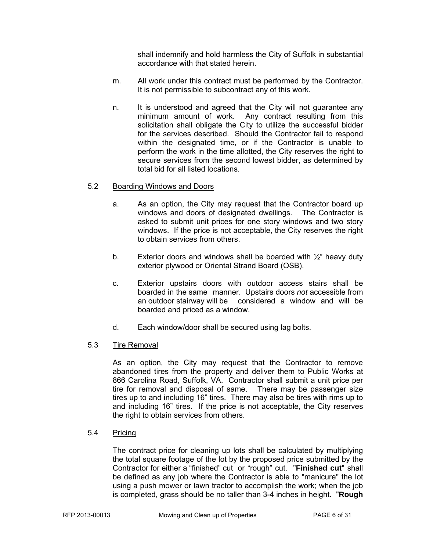shall indemnify and hold harmless the City of Suffolk in substantial accordance with that stated herein.

- m. All work under this contract must be performed by the Contractor. It is not permissible to subcontract any of this work.
- n. It is understood and agreed that the City will not guarantee any minimum amount of work. Any contract resulting from this solicitation shall obligate the City to utilize the successful bidder for the services described. Should the Contractor fail to respond within the designated time, or if the Contractor is unable to perform the work in the time allotted, the City reserves the right to secure services from the second lowest bidder, as determined by total bid for all listed locations.

#### 5.2 Boarding Windows and Doors

- a. As an option, the City may request that the Contractor board up windows and doors of designated dwellings. The Contractor is asked to submit unit prices for one story windows and two story windows. If the price is not acceptable, the City reserves the right to obtain services from others.
- b. Exterior doors and windows shall be boarded with  $\frac{1}{2}$ " heavy duty exterior plywood or Oriental Strand Board (OSB).
- c. Exterior upstairs doors with outdoor access stairs shall be boarded in the same manner. Upstairs doors *not* accessible from an outdoor stairway will be considered a window and will be boarded and priced as a window.
- d. Each window/door shall be secured using lag bolts.
- 5.3 Tire Removal

As an option, the City may request that the Contractor to remove abandoned tires from the property and deliver them to Public Works at 866 Carolina Road, Suffolk, VA. Contractor shall submit a unit price per tire for removal and disposal of same. There may be passenger size tires up to and including 16" tires. There may also be tires with rims up to and including 16" tires. If the price is not acceptable, the City reserves the right to obtain services from others.

5.4 Pricing

The contract price for cleaning up lots shall be calculated by multiplying the total square footage of the lot by the proposed price submitted by the Contractor for either a "finished" cut or "rough" cut. "**Finished cut**" shall be defined as any job where the Contractor is able to "manicure" the lot using a push mower or lawn tractor to accomplish the work; when the job is completed, grass should be no taller than 3-4 inches in height. "**Rough**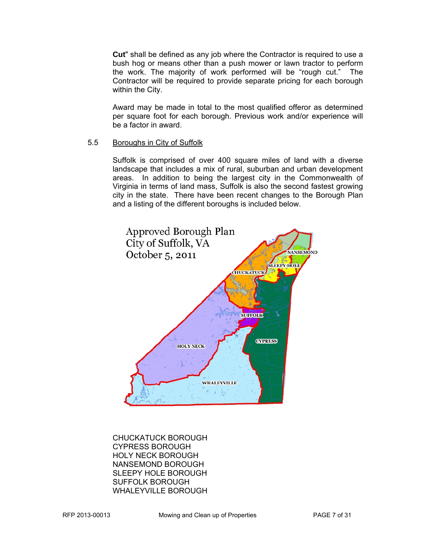**Cut**" shall be defined as any job where the Contractor is required to use a bush hog or means other than a push mower or lawn tractor to perform the work. The majority of work performed will be "rough cut." The Contractor will be required to provide separate pricing for each borough within the City.

Award may be made in total to the most qualified offeror as determined per square foot for each borough. Previous work and/or experience will be a factor in award.

#### 5.5 Boroughs in City of Suffolk

 Suffolk is comprised of over 400 square miles of land with a diverse landscape that includes a mix of rural, suburban and urban development areas. In addition to being the largest city in the Commonwealth of Virginia in terms of land mass, Suffolk is also the second fastest growing city in the state. There have been recent changes to the Borough Plan and a listing of the different boroughs is included below.



CHUCKATUCK BOROUGH CYPRESS BOROUGH HOLY NECK BOROUGH NANSEMOND BOROUGH SLEEPY HOLE BOROUGH SUFFOLK BOROUGH WHALEYVILLE BOROUGH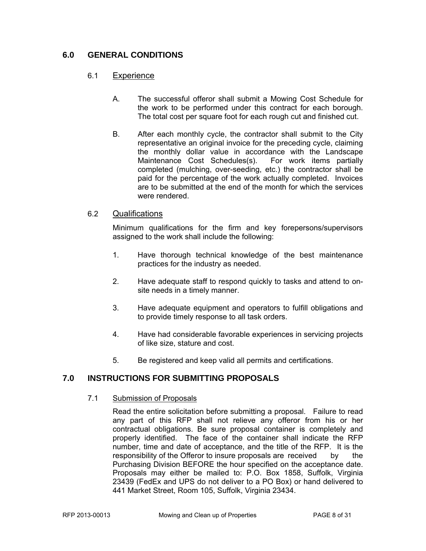#### **6.0 GENERAL CONDITIONS**

#### 6.1 Experience

- A. The successful offeror shall submit a Mowing Cost Schedule for the work to be performed under this contract for each borough. The total cost per square foot for each rough cut and finished cut.
- B. After each monthly cycle, the contractor shall submit to the City representative an original invoice for the preceding cycle, claiming the monthly dollar value in accordance with the Landscape Maintenance Cost Schedules(s). For work items partially completed (mulching, over-seeding, etc.) the contractor shall be paid for the percentage of the work actually completed. Invoices are to be submitted at the end of the month for which the services were rendered.

#### 6.2 Qualifications

 Minimum qualifications for the firm and key forepersons/supervisors assigned to the work shall include the following:

- 1. Have thorough technical knowledge of the best maintenance practices for the industry as needed.
- 2. Have adequate staff to respond quickly to tasks and attend to onsite needs in a timely manner.
- 3. Have adequate equipment and operators to fulfill obligations and to provide timely response to all task orders.
- 4. Have had considerable favorable experiences in servicing projects of like size, stature and cost.
- 5. Be registered and keep valid all permits and certifications.

#### **7.0 INSTRUCTIONS FOR SUBMITTING PROPOSALS**

#### 7.1 Submission of Proposals

 Read the entire solicitation before submitting a proposal. Failure to read any part of this RFP shall not relieve any offeror from his or her contractual obligations. Be sure proposal container is completely and properly identified. The face of the container shall indicate the RFP number, time and date of acceptance, and the title of the RFP. It is the responsibility of the Offeror to insure proposals are received by the Purchasing Division BEFORE the hour specified on the acceptance date. Proposals may either be mailed to: P.O. Box 1858, Suffolk, Virginia 23439 (FedEx and UPS do not deliver to a PO Box) or hand delivered to 441 Market Street, Room 105, Suffolk, Virginia 23434.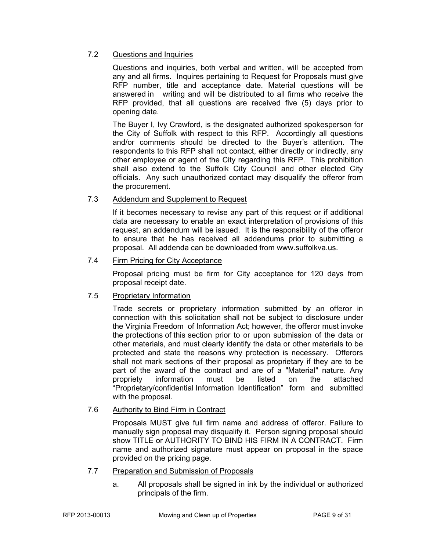#### 7.2 Questions and Inquiries

 Questions and inquiries, both verbal and written, will be accepted from any and all firms. Inquires pertaining to Request for Proposals must give RFP number, title and acceptance date. Material questions will be answered in writing and will be distributed to all firms who receive the RFP provided, that all questions are received five (5) days prior to opening date.

 The Buyer I, Ivy Crawford, is the designated authorized spokesperson for the City of Suffolk with respect to this RFP. Accordingly all questions and/or comments should be directed to the Buyer's attention. The respondents to this RFP shall not contact, either directly or indirectly, any other employee or agent of the City regarding this RFP. This prohibition shall also extend to the Suffolk City Council and other elected City officials. Any such unauthorized contact may disqualify the offeror from the procurement.

#### 7.3 Addendum and Supplement to Request

If it becomes necessary to revise any part of this request or if additional data are necessary to enable an exact interpretation of provisions of this request, an addendum will be issued. It is the responsibility of the offeror to ensure that he has received all addendums prior to submitting a proposal. All addenda can be downloaded from www.suffolkva.us.

#### 7.4 Firm Pricing for City Acceptance

Proposal pricing must be firm for City acceptance for 120 days from proposal receipt date.

#### 7.5 Proprietary Information

Trade secrets or proprietary information submitted by an offeror in connection with this solicitation shall not be subject to disclosure under the Virginia Freedom of Information Act; however, the offeror must invoke the protections of this section prior to or upon submission of the data or other materials, and must clearly identify the data or other materials to be protected and state the reasons why protection is necessary. Offerors shall not mark sections of their proposal as proprietary if they are to be part of the award of the contract and are of a "Material" nature. Any propriety information must be listed on the attached "Proprietary/confidential Information Identification" form and submitted with the proposal.

#### 7.6 Authority to Bind Firm in Contract

 Proposals MUST give full firm name and address of offeror. Failure to manually sign proposal may disqualify it. Person signing proposal should show TITLE or AUTHORITY TO BIND HIS FIRM IN A CONTRACT. Firm name and authorized signature must appear on proposal in the space provided on the pricing page.

- 7.7 Preparation and Submission of Proposals
	- a. All proposals shall be signed in ink by the individual or authorized principals of the firm.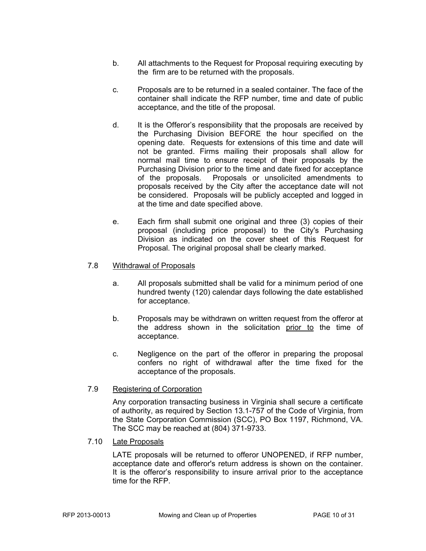- b. All attachments to the Request for Proposal requiring executing by the firm are to be returned with the proposals.
- c. Proposals are to be returned in a sealed container. The face of the container shall indicate the RFP number, time and date of public acceptance, and the title of the proposal.
- d. It is the Offeror's responsibility that the proposals are received by the Purchasing Division BEFORE the hour specified on the opening date. Requests for extensions of this time and date will not be granted. Firms mailing their proposals shall allow for normal mail time to ensure receipt of their proposals by the Purchasing Division prior to the time and date fixed for acceptance of the proposals. Proposals or unsolicited amendments to proposals received by the City after the acceptance date will not be considered. Proposals will be publicly accepted and logged in at the time and date specified above.
- e. Each firm shall submit one original and three (3) copies of their proposal (including price proposal) to the City's Purchasing Division as indicated on the cover sheet of this Request for Proposal. The original proposal shall be clearly marked.

#### 7.8 Withdrawal of Proposals

- a. All proposals submitted shall be valid for a minimum period of one hundred twenty (120) calendar days following the date established for acceptance.
- b. Proposals may be withdrawn on written request from the offeror at the address shown in the solicitation prior to the time of acceptance.
- c. Negligence on the part of the offeror in preparing the proposal confers no right of withdrawal after the time fixed for the acceptance of the proposals.

#### 7.9 Registering of Corporation

 Any corporation transacting business in Virginia shall secure a certificate of authority, as required by Section 13.1-757 of the Code of Virginia, from the State Corporation Commission (SCC), PO Box 1197, Richmond, VA. The SCC may be reached at (804) 371-9733.

7.10 Late Proposals

LATE proposals will be returned to offeror UNOPENED, if RFP number, acceptance date and offeror's return address is shown on the container. It is the offeror's responsibility to insure arrival prior to the acceptance time for the RFP.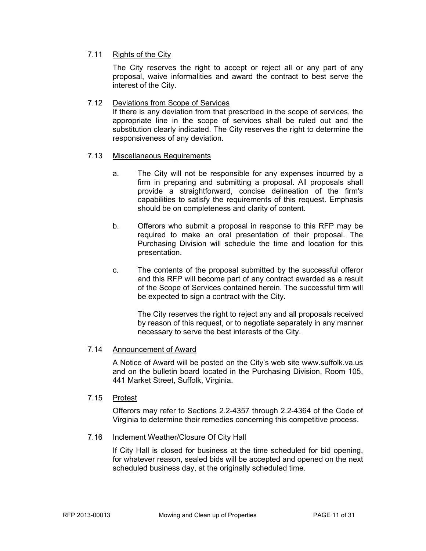#### 7.11 Rights of the City

The City reserves the right to accept or reject all or any part of any proposal, waive informalities and award the contract to best serve the interest of the City.

#### 7.12 Deviations from Scope of Services

If there is any deviation from that prescribed in the scope of services, the appropriate line in the scope of services shall be ruled out and the substitution clearly indicated. The City reserves the right to determine the responsiveness of any deviation.

#### 7.13 Miscellaneous Requirements

- a. The City will not be responsible for any expenses incurred by a firm in preparing and submitting a proposal. All proposals shall provide a straightforward, concise delineation of the firm's capabilities to satisfy the requirements of this request. Emphasis should be on completeness and clarity of content.
- b. Offerors who submit a proposal in response to this RFP may be required to make an oral presentation of their proposal. The Purchasing Division will schedule the time and location for this presentation.
- c. The contents of the proposal submitted by the successful offeror and this RFP will become part of any contract awarded as a result of the Scope of Services contained herein. The successful firm will be expected to sign a contract with the City.

 The City reserves the right to reject any and all proposals received by reason of this request, or to negotiate separately in any manner necessary to serve the best interests of the City.

#### 7.14 Announcement of Award

A Notice of Award will be posted on the City's web site www.suffolk.va.us and on the bulletin board located in the Purchasing Division, Room 105, 441 Market Street, Suffolk, Virginia.

#### 7.15 Protest

 Offerors may refer to Sections 2.2-4357 through 2.2-4364 of the Code of Virginia to determine their remedies concerning this competitive process.

#### 7.16 Inclement Weather/Closure Of City Hall

If City Hall is closed for business at the time scheduled for bid opening, for whatever reason, sealed bids will be accepted and opened on the next scheduled business day, at the originally scheduled time.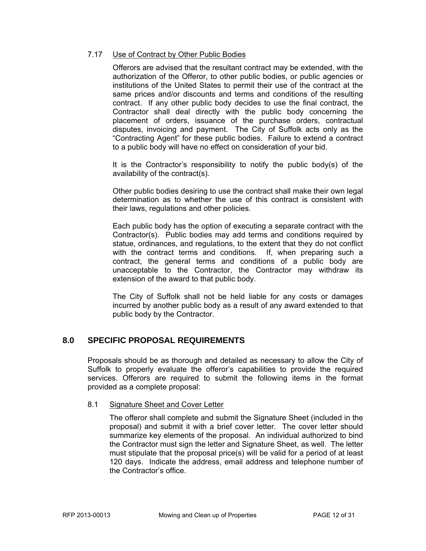#### 7.17 Use of Contract by Other Public Bodies

Offerors are advised that the resultant contract may be extended, with the authorization of the Offeror, to other public bodies, or public agencies or institutions of the United States to permit their use of the contract at the same prices and/or discounts and terms and conditions of the resulting contract. If any other public body decides to use the final contract, the Contractor shall deal directly with the public body concerning the placement of orders, issuance of the purchase orders, contractual disputes, invoicing and payment. The City of Suffolk acts only as the "Contracting Agent" for these public bodies. Failure to extend a contract to a public body will have no effect on consideration of your bid.

It is the Contractor's responsibility to notify the public body(s) of the availability of the contract(s).

Other public bodies desiring to use the contract shall make their own legal determination as to whether the use of this contract is consistent with their laws, regulations and other policies.

Each public body has the option of executing a separate contract with the Contractor(s). Public bodies may add terms and conditions required by statue, ordinances, and regulations, to the extent that they do not conflict with the contract terms and conditions. If, when preparing such a contract, the general terms and conditions of a public body are unacceptable to the Contractor, the Contractor may withdraw its extension of the award to that public body.

The City of Suffolk shall not be held liable for any costs or damages incurred by another public body as a result of any award extended to that public body by the Contractor.

#### **8.0 SPECIFIC PROPOSAL REQUIREMENTS**

Proposals should be as thorough and detailed as necessary to allow the City of Suffolk to properly evaluate the offeror's capabilities to provide the required services. Offerors are required to submit the following items in the format provided as a complete proposal:

#### 8.1 Signature Sheet and Cover Letter

 The offeror shall complete and submit the Signature Sheet (included in the proposal) and submit it with a brief cover letter. The cover letter should summarize key elements of the proposal. An individual authorized to bind the Contractor must sign the letter and Signature Sheet, as well. The letter must stipulate that the proposal price(s) will be valid for a period of at least 120 days. Indicate the address, email address and telephone number of the Contractor's office.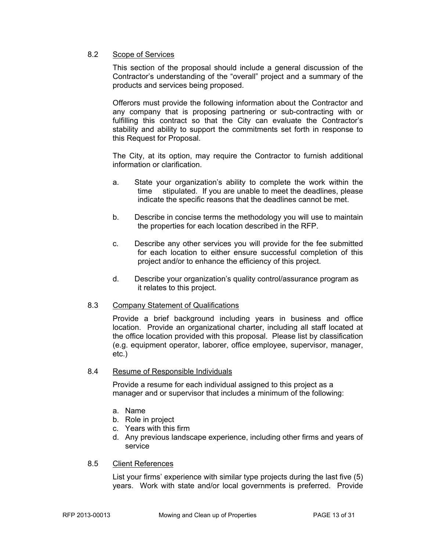#### 8.2 Scope of Services

This section of the proposal should include a general discussion of the Contractor's understanding of the "overall" project and a summary of the products and services being proposed.

Offerors must provide the following information about the Contractor and any company that is proposing partnering or sub-contracting with or fulfilling this contract so that the City can evaluate the Contractor's stability and ability to support the commitments set forth in response to this Request for Proposal.

The City, at its option, may require the Contractor to furnish additional information or clarification.

- a. State your organization's ability to complete the work within the time stipulated. If you are unable to meet the deadlines, please indicate the specific reasons that the deadlines cannot be met.
- b. Describe in concise terms the methodology you will use to maintain the properties for each location described in the RFP.
- c. Describe any other services you will provide for the fee submitted for each location to either ensure successful completion of this project and/or to enhance the efficiency of this project.
- d. Describe your organization's quality control/assurance program as it relates to this project.

#### 8.3 Company Statement of Qualifications

 Provide a brief background including years in business and office location. Provide an organizational charter, including all staff located at the office location provided with this proposal. Please list by classification (e.g. equipment operator, laborer, office employee, supervisor, manager, etc.)

#### 8.4 Resume of Responsible Individuals

Provide a resume for each individual assigned to this project as a manager and or supervisor that includes a minimum of the following:

- a. Name
- b. Role in project
- c. Years with this firm
- d. Any previous landscape experience, including other firms and years of service

#### 8.5 Client References

 List your firms' experience with similar type projects during the last five (5) years. Work with state and/or local governments is preferred. Provide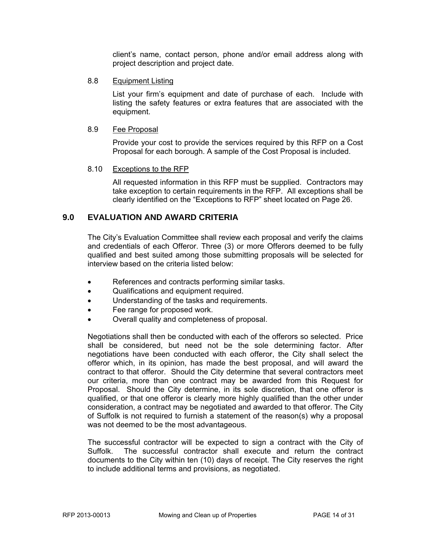client's name, contact person, phone and/or email address along with project description and project date.

#### 8.8 Equipment Listing

List your firm's equipment and date of purchase of each. Include with listing the safety features or extra features that are associated with the equipment.

#### 8.9 Fee Proposal

Provide your cost to provide the services required by this RFP on a Cost Proposal for each borough. A sample of the Cost Proposal is included.

#### 8.10 Exceptions to the RFP

All requested information in this RFP must be supplied. Contractors may take exception to certain requirements in the RFP. All exceptions shall be clearly identified on the "Exceptions to RFP" sheet located on Page 26.

#### **9.0 EVALUATION AND AWARD CRITERIA**

The City's Evaluation Committee shall review each proposal and verify the claims and credentials of each Offeror. Three (3) or more Offerors deemed to be fully qualified and best suited among those submitting proposals will be selected for interview based on the criteria listed below:

- References and contracts performing similar tasks.
- Qualifications and equipment required.
- Understanding of the tasks and requirements.
- Fee range for proposed work.
- Overall quality and completeness of proposal.

Negotiations shall then be conducted with each of the offerors so selected. Price shall be considered, but need not be the sole determining factor. After negotiations have been conducted with each offeror, the City shall select the offeror which, in its opinion, has made the best proposal, and will award the contract to that offeror. Should the City determine that several contractors meet our criteria, more than one contract may be awarded from this Request for Proposal. Should the City determine, in its sole discretion, that one offeror is qualified, or that one offeror is clearly more highly qualified than the other under consideration, a contract may be negotiated and awarded to that offeror. The City of Suffolk is not required to furnish a statement of the reason(s) why a proposal was not deemed to be the most advantageous.

The successful contractor will be expected to sign a contract with the City of Suffolk. The successful contractor shall execute and return the contract documents to the City within ten (10) days of receipt. The City reserves the right to include additional terms and provisions, as negotiated.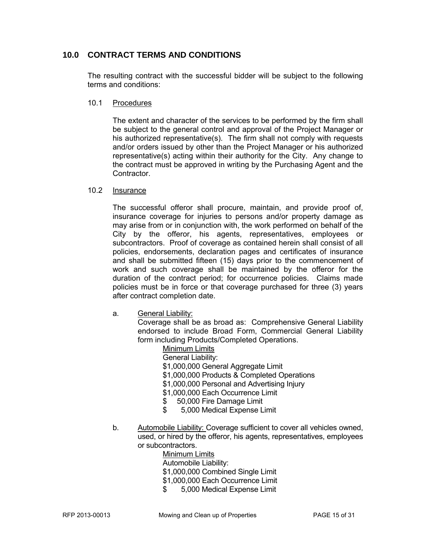#### **10.0 CONTRACT TERMS AND CONDITIONS**

The resulting contract with the successful bidder will be subject to the following terms and conditions:

#### 10.1 Procedures

The extent and character of the services to be performed by the firm shall be subject to the general control and approval of the Project Manager or his authorized representative(s). The firm shall not comply with requests and/or orders issued by other than the Project Manager or his authorized representative(s) acting within their authority for the City. Any change to the contract must be approved in writing by the Purchasing Agent and the **Contractor** 

#### 10.2 Insurance

The successful offeror shall procure, maintain, and provide proof of, insurance coverage for injuries to persons and/or property damage as may arise from or in conjunction with, the work performed on behalf of the City by the offeror, his agents, representatives, employees or subcontractors. Proof of coverage as contained herein shall consist of all policies, endorsements, declaration pages and certificates of insurance and shall be submitted fifteen (15) days prior to the commencement of work and such coverage shall be maintained by the offeror for the duration of the contract period; for occurrence policies. Claims made policies must be in force or that coverage purchased for three (3) years after contract completion date.

a. General Liability:

 Coverage shall be as broad as: Comprehensive General Liability endorsed to include Broad Form, Commercial General Liability form including Products/Completed Operations.

> Minimum Limits General Liability: \$1,000,000 General Aggregate Limit \$1,000,000 Products & Completed Operations \$1,000,000 Personal and Advertising Injury \$1,000,000 Each Occurrence Limit \$ 50,000 Fire Damage Limit \$ 5,000 Medical Expense Limit

 b. Automobile Liability: Coverage sufficient to cover all vehicles owned, used, or hired by the offeror, his agents, representatives, employees or subcontractors.

 Minimum Limits Automobile Liability: \$1,000,000 Combined Single Limit \$1,000,000 Each Occurrence Limit

\$ 5,000 Medical Expense Limit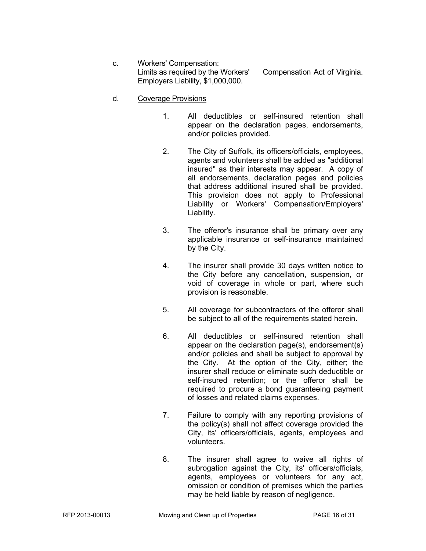- c. Workers' Compensation: Limits as required by the Workers' Compensation Act of Virginia. Employers Liability, \$1,000,000.
- d. Coverage Provisions
	- 1. All deductibles or self-insured retention shall appear on the declaration pages, endorsements, and/or policies provided.
	- 2. The City of Suffolk, its officers/officials, employees, agents and volunteers shall be added as "additional insured" as their interests may appear. A copy of all endorsements, declaration pages and policies that address additional insured shall be provided. This provision does not apply to Professional Liability or Workers' Compensation/Employers' Liability.
	- 3. The offeror's insurance shall be primary over any applicable insurance or self-insurance maintained by the City.
	- 4. The insurer shall provide 30 days written notice to the City before any cancellation, suspension, or void of coverage in whole or part, where such provision is reasonable.
	- 5. All coverage for subcontractors of the offeror shall be subject to all of the requirements stated herein.
	- 6. All deductibles or self-insured retention shall appear on the declaration page(s), endorsement(s) and/or policies and shall be subject to approval by the City. At the option of the City, either; the insurer shall reduce or eliminate such deductible or self-insured retention; or the offeror shall be required to procure a bond guaranteeing payment of losses and related claims expenses.
	- 7. Failure to comply with any reporting provisions of the policy(s) shall not affect coverage provided the City, its' officers/officials, agents, employees and volunteers.
	- 8. The insurer shall agree to waive all rights of subrogation against the City, its' officers/officials, agents, employees or volunteers for any act, omission or condition of premises which the parties may be held liable by reason of negligence.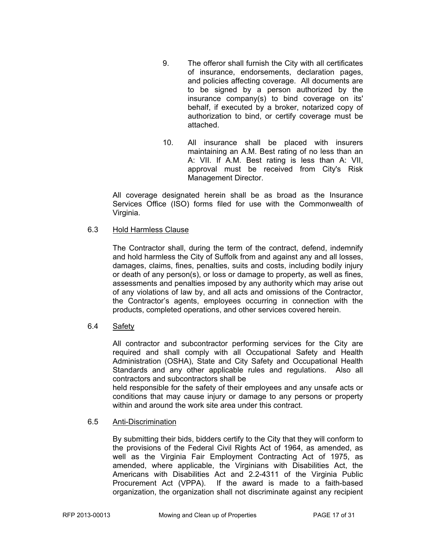- 9. The offeror shall furnish the City with all certificates of insurance, endorsements, declaration pages, and policies affecting coverage. All documents are to be signed by a person authorized by the insurance company(s) to bind coverage on its' behalf, if executed by a broker, notarized copy of authorization to bind, or certify coverage must be attached.
- 10. All insurance shall be placed with insurers maintaining an A.M. Best rating of no less than an A: VII. If A.M. Best rating is less than A: VII, approval must be received from City's Risk Management Director.

All coverage designated herein shall be as broad as the Insurance Services Office (ISO) forms filed for use with the Commonwealth of Virginia.

#### 6.3 Hold Harmless Clause

The Contractor shall, during the term of the contract, defend, indemnify and hold harmless the City of Suffolk from and against any and all losses, damages, claims, fines, penalties, suits and costs, including bodily injury or death of any person(s), or loss or damage to property, as well as fines, assessments and penalties imposed by any authority which may arise out of any violations of law by, and all acts and omissions of the Contractor, the Contractor's agents, employees occurring in connection with the products, completed operations, and other services covered herein.

#### 6.4 Safety

All contractor and subcontractor performing services for the City are required and shall comply with all Occupational Safety and Health Administration (OSHA), State and City Safety and Occupational Health Standards and any other applicable rules and regulations. Also all contractors and subcontractors shall be

held responsible for the safety of their employees and any unsafe acts or conditions that may cause injury or damage to any persons or property within and around the work site area under this contract.

#### 6.5 Anti-Discrimination

By submitting their bids, bidders certify to the City that they will conform to the provisions of the Federal Civil Rights Act of 1964, as amended, as well as the Virginia Fair Employment Contracting Act of 1975, as amended, where applicable, the Virginians with Disabilities Act, the Americans with Disabilities Act and 2.2-4311 of the Virginia Public Procurement Act (VPPA). If the award is made to a faith-based organization, the organization shall not discriminate against any recipient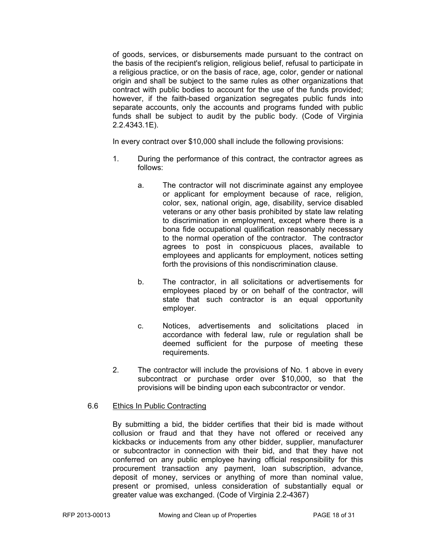of goods, services, or disbursements made pursuant to the contract on the basis of the recipient's religion, religious belief, refusal to participate in a religious practice, or on the basis of race, age, color, gender or national origin and shall be subject to the same rules as other organizations that contract with public bodies to account for the use of the funds provided; however, if the faith-based organization segregates public funds into separate accounts, only the accounts and programs funded with public funds shall be subject to audit by the public body. (Code of Virginia 2.2.4343.1E).

In every contract over \$10,000 shall include the following provisions:

- 1. During the performance of this contract, the contractor agrees as follows:
	- a. The contractor will not discriminate against any employee or applicant for employment because of race, religion, color, sex, national origin, age, disability, service disabled veterans or any other basis prohibited by state law relating to discrimination in employment, except where there is a bona fide occupational qualification reasonably necessary to the normal operation of the contractor. The contractor agrees to post in conspicuous places, available to employees and applicants for employment, notices setting forth the provisions of this nondiscrimination clause.
	- b. The contractor, in all solicitations or advertisements for employees placed by or on behalf of the contractor, will state that such contractor is an equal opportunity employer.
	- c. Notices, advertisements and solicitations placed in accordance with federal law, rule or regulation shall be deemed sufficient for the purpose of meeting these requirements.
- 2. The contractor will include the provisions of No. 1 above in every subcontract or purchase order over \$10,000, so that the provisions will be binding upon each subcontractor or vendor.

#### 6.6 Ethics In Public Contracting

By submitting a bid, the bidder certifies that their bid is made without collusion or fraud and that they have not offered or received any kickbacks or inducements from any other bidder, supplier, manufacturer or subcontractor in connection with their bid, and that they have not conferred on any public employee having official responsibility for this procurement transaction any payment, loan subscription, advance, deposit of money, services or anything of more than nominal value, present or promised, unless consideration of substantially equal or greater value was exchanged. (Code of Virginia 2.2-4367)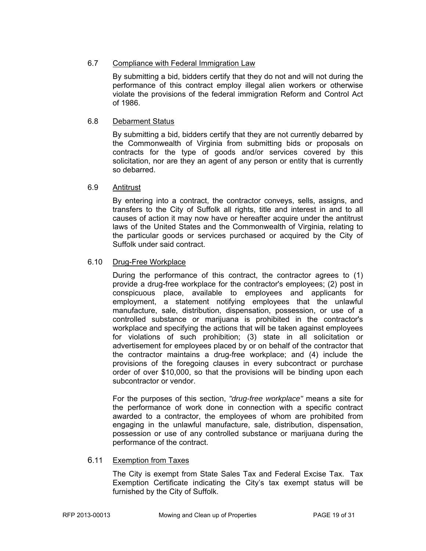#### 6.7 Compliance with Federal Immigration Law

By submitting a bid, bidders certify that they do not and will not during the performance of this contract employ illegal alien workers or otherwise violate the provisions of the federal immigration Reform and Control Act of 1986.

#### 6.8 Debarment Status

By submitting a bid, bidders certify that they are not currently debarred by the Commonwealth of Virginia from submitting bids or proposals on contracts for the type of goods and/or services covered by this solicitation, nor are they an agent of any person or entity that is currently so debarred.

#### 6.9 Antitrust

By entering into a contract, the contractor conveys, sells, assigns, and transfers to the City of Suffolk all rights, title and interest in and to all causes of action it may now have or hereafter acquire under the antitrust laws of the United States and the Commonwealth of Virginia, relating to the particular goods or services purchased or acquired by the City of Suffolk under said contract.

#### 6.10 Drug-Free Workplace

During the performance of this contract, the contractor agrees to (1) provide a drug-free workplace for the contractor's employees; (2) post in conspicuous place, available to employees and applicants for employment, a statement notifying employees that the unlawful manufacture, sale, distribution, dispensation, possession, or use of a controlled substance or marijuana is prohibited in the contractor's workplace and specifying the actions that will be taken against employees for violations of such prohibition; (3) state in all solicitation or advertisement for employees placed by or on behalf of the contractor that the contractor maintains a drug-free workplace; and (4) include the provisions of the foregoing clauses in every subcontract or purchase order of over \$10,000, so that the provisions will be binding upon each subcontractor or vendor.

For the purposes of this section, *"drug-free workplace"* means a site for the performance of work done in connection with a specific contract awarded to a contractor, the employees of whom are prohibited from engaging in the unlawful manufacture, sale, distribution, dispensation, possession or use of any controlled substance or marijuana during the performance of the contract.

#### 6.11 Exemption from Taxes

The City is exempt from State Sales Tax and Federal Excise Tax. Tax Exemption Certificate indicating the City's tax exempt status will be furnished by the City of Suffolk.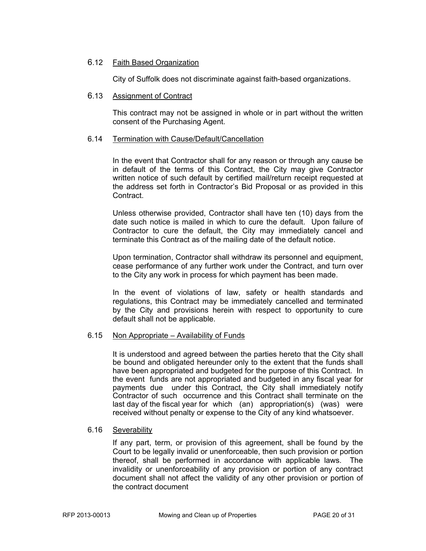#### 6.12 Faith Based Organization

City of Suffolk does not discriminate against faith-based organizations.

#### 6.13 Assignment of Contract

This contract may not be assigned in whole or in part without the written consent of the Purchasing Agent.

#### 6.14 Termination with Cause/Default/Cancellation

In the event that Contractor shall for any reason or through any cause be in default of the terms of this Contract, the City may give Contractor written notice of such default by certified mail/return receipt requested at the address set forth in Contractor's Bid Proposal or as provided in this Contract.

Unless otherwise provided, Contractor shall have ten (10) days from the date such notice is mailed in which to cure the default. Upon failure of Contractor to cure the default, the City may immediately cancel and terminate this Contract as of the mailing date of the default notice.

Upon termination, Contractor shall withdraw its personnel and equipment, cease performance of any further work under the Contract, and turn over to the City any work in process for which payment has been made.

In the event of violations of law, safety or health standards and regulations, this Contract may be immediately cancelled and terminated by the City and provisions herein with respect to opportunity to cure default shall not be applicable.

#### 6.15 Non Appropriate – Availability of Funds

It is understood and agreed between the parties hereto that the City shall be bound and obligated hereunder only to the extent that the funds shall have been appropriated and budgeted for the purpose of this Contract. In the event funds are not appropriated and budgeted in any fiscal year for payments due under this Contract, the City shall immediately notify Contractor of such occurrence and this Contract shall terminate on the last day of the fiscal year for which (an) appropriation(s) (was) were received without penalty or expense to the City of any kind whatsoever.

#### 6.16 Severability

If any part, term, or provision of this agreement, shall be found by the Court to be legally invalid or unenforceable, then such provision or portion thereof, shall be performed in accordance with applicable laws. The invalidity or unenforceability of any provision or portion of any contract document shall not affect the validity of any other provision or portion of the contract document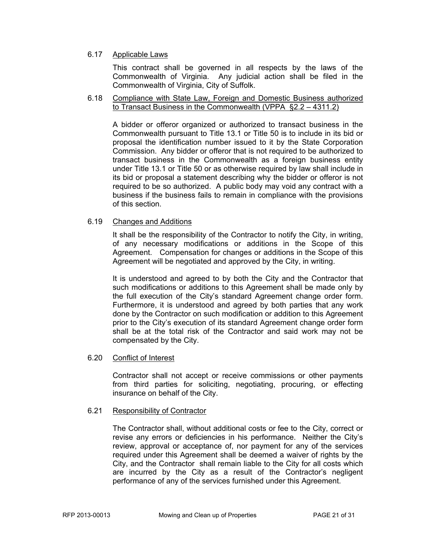#### 6.17 Applicable Laws

This contract shall be governed in all respects by the laws of the Commonwealth of Virginia. Any judicial action shall be filed in the Commonwealth of Virginia, City of Suffolk.

#### 6.18 Compliance with State Law, Foreign and Domestic Business authorized to Transact Business in the Commonwealth (VPPA §2.2 – 4311.2)

A bidder or offeror organized or authorized to transact business in the Commonwealth pursuant to Title 13.1 or Title 50 is to include in its bid or proposal the identification number issued to it by the State Corporation Commission. Any bidder or offeror that is not required to be authorized to transact business in the Commonwealth as a foreign business entity under Title 13.1 or Title 50 or as otherwise required by law shall include in its bid or proposal a statement describing why the bidder or offeror is not required to be so authorized. A public body may void any contract with a business if the business fails to remain in compliance with the provisions of this section.

#### 6.19 Changes and Additions

It shall be the responsibility of the Contractor to notify the City, in writing, of any necessary modifications or additions in the Scope of this Agreement. Compensation for changes or additions in the Scope of this Agreement will be negotiated and approved by the City, in writing.

It is understood and agreed to by both the City and the Contractor that such modifications or additions to this Agreement shall be made only by the full execution of the City's standard Agreement change order form. Furthermore, it is understood and agreed by both parties that any work done by the Contractor on such modification or addition to this Agreement prior to the City's execution of its standard Agreement change order form shall be at the total risk of the Contractor and said work may not be compensated by the City.

#### 6.20 Conflict of Interest

Contractor shall not accept or receive commissions or other payments from third parties for soliciting, negotiating, procuring, or effecting insurance on behalf of the City.

#### 6.21 Responsibility of Contractor

The Contractor shall, without additional costs or fee to the City, correct or revise any errors or deficiencies in his performance. Neither the City's review, approval or acceptance of, nor payment for any of the services required under this Agreement shall be deemed a waiver of rights by the City, and the Contractor shall remain liable to the City for all costs which are incurred by the City as a result of the Contractor's negligent performance of any of the services furnished under this Agreement.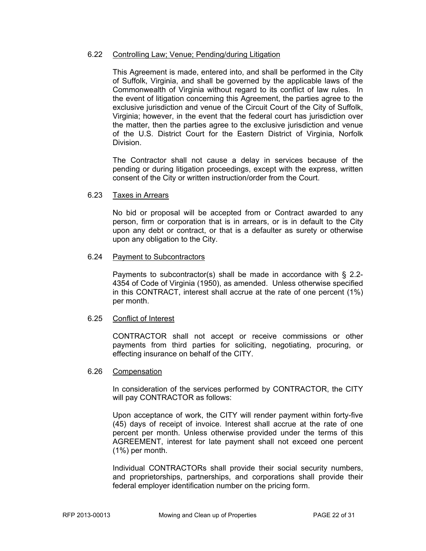#### 6.22 Controlling Law; Venue; Pending/during Litigation

This Agreement is made, entered into, and shall be performed in the City of Suffolk, Virginia, and shall be governed by the applicable laws of the Commonwealth of Virginia without regard to its conflict of law rules. In the event of litigation concerning this Agreement, the parties agree to the exclusive jurisdiction and venue of the Circuit Court of the City of Suffolk, Virginia; however, in the event that the federal court has jurisdiction over the matter, then the parties agree to the exclusive jurisdiction and venue of the U.S. District Court for the Eastern District of Virginia, Norfolk Division.

The Contractor shall not cause a delay in services because of the pending or during litigation proceedings, except with the express, written consent of the City or written instruction/order from the Court.

#### 6.23 Taxes in Arrears

No bid or proposal will be accepted from or Contract awarded to any person, firm or corporation that is in arrears, or is in default to the City upon any debt or contract, or that is a defaulter as surety or otherwise upon any obligation to the City.

#### 6.24 Payment to Subcontractors

Payments to subcontractor(s) shall be made in accordance with § 2.2- 4354 of Code of Virginia (1950), as amended. Unless otherwise specified in this CONTRACT, interest shall accrue at the rate of one percent (1%) per month.

#### 6.25 Conflict of Interest

CONTRACTOR shall not accept or receive commissions or other payments from third parties for soliciting, negotiating, procuring, or effecting insurance on behalf of the CITY.

#### 6.26 Compensation

In consideration of the services performed by CONTRACTOR, the CITY will pay CONTRACTOR as follows:

Upon acceptance of work, the CITY will render payment within forty-five (45) days of receipt of invoice. Interest shall accrue at the rate of one percent per month. Unless otherwise provided under the terms of this AGREEMENT, interest for late payment shall not exceed one percent (1%) per month.

Individual CONTRACTORs shall provide their social security numbers, and proprietorships, partnerships, and corporations shall provide their federal employer identification number on the pricing form.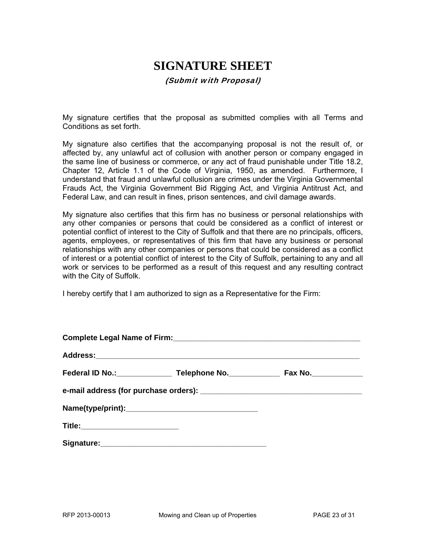# **SIGNATURE SHEET**

#### (Submit with Proposal)

My signature certifies that the proposal as submitted complies with all Terms and Conditions as set forth.

My signature also certifies that the accompanying proposal is not the result of, or affected by, any unlawful act of collusion with another person or company engaged in the same line of business or commerce, or any act of fraud punishable under Title 18.2, Chapter 12, Article 1.1 of the Code of Virginia, 1950, as amended. Furthermore, I understand that fraud and unlawful collusion are crimes under the Virginia Governmental Frauds Act, the Virginia Government Bid Rigging Act, and Virginia Antitrust Act, and Federal Law, and can result in fines, prison sentences, and civil damage awards.

My signature also certifies that this firm has no business or personal relationships with any other companies or persons that could be considered as a conflict of interest or potential conflict of interest to the City of Suffolk and that there are no principals, officers, agents, employees, or representatives of this firm that have any business or personal relationships with any other companies or persons that could be considered as a conflict of interest or a potential conflict of interest to the City of Suffolk, pertaining to any and all work or services to be performed as a result of this request and any resulting contract with the City of Suffolk.

I hereby certify that I am authorized to sign as a Representative for the Firm:

| Title:___________________________ |  |  |
|-----------------------------------|--|--|
|                                   |  |  |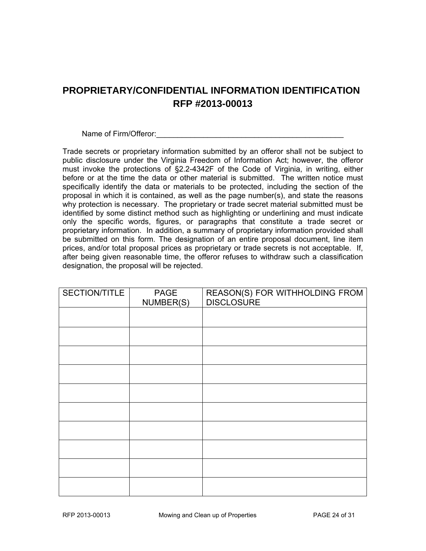### **PROPRIETARY/CONFIDENTIAL INFORMATION IDENTIFICATION RFP #2013-00013**

Name of Firm/Offeror: example of  $\frac{1}{2}$  and  $\frac{1}{2}$  and  $\frac{1}{2}$  and  $\frac{1}{2}$  and  $\frac{1}{2}$  and  $\frac{1}{2}$  and  $\frac{1}{2}$  and  $\frac{1}{2}$  and  $\frac{1}{2}$  and  $\frac{1}{2}$  and  $\frac{1}{2}$  and  $\frac{1}{2}$  and  $\frac{1}{2}$  and  $\frac{1}{2$ 

Trade secrets or proprietary information submitted by an offeror shall not be subject to public disclosure under the Virginia Freedom of Information Act; however, the offeror must invoke the protections of §2.2-4342F of the Code of Virginia, in writing, either before or at the time the data or other material is submitted. The written notice must specifically identify the data or materials to be protected, including the section of the proposal in which it is contained, as well as the page number(s), and state the reasons why protection is necessary. The proprietary or trade secret material submitted must be identified by some distinct method such as highlighting or underlining and must indicate only the specific words, figures, or paragraphs that constitute a trade secret or proprietary information. In addition, a summary of proprietary information provided shall be submitted on this form. The designation of an entire proposal document, line item prices, and/or total proposal prices as proprietary or trade secrets is not acceptable. If, after being given reasonable time, the offeror refuses to withdraw such a classification designation, the proposal will be rejected.

| SECTION/TITLE | PAGE<br>NUMBER(S) | REASON(S) FOR WITHHOLDING FROM<br><b>DISCLOSURE</b> |
|---------------|-------------------|-----------------------------------------------------|
|               |                   |                                                     |
|               |                   |                                                     |
|               |                   |                                                     |
|               |                   |                                                     |
|               |                   |                                                     |
|               |                   |                                                     |
|               |                   |                                                     |
|               |                   |                                                     |
|               |                   |                                                     |
|               |                   |                                                     |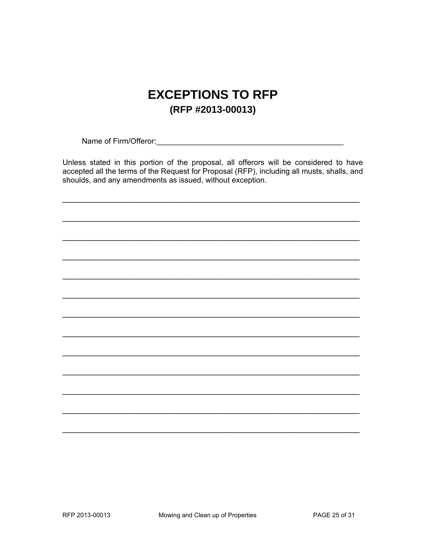# **EXCEPTIONS TO RFP** (RFP #2013-00013)

Unless stated in this portion of the proposal, all offerors will be considered to have accepted all the terms of the Request for Proposal (RFP), including all musts, shalls, and shoulds, and any amendments as issued, without exception.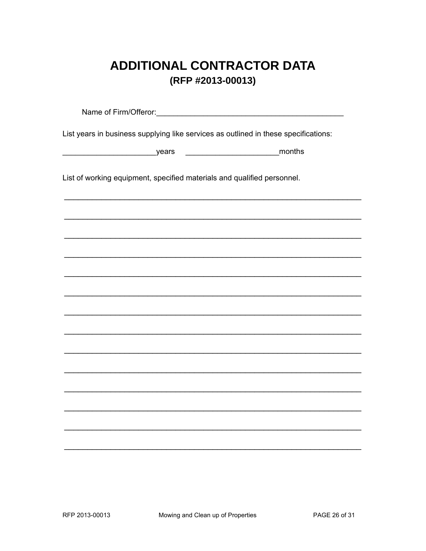# **ADDITIONAL CONTRACTOR DATA** (RFP #2013-00013)

List years in business supplying like services as outlined in these specifications: List of working equipment, specified materials and qualified personnel.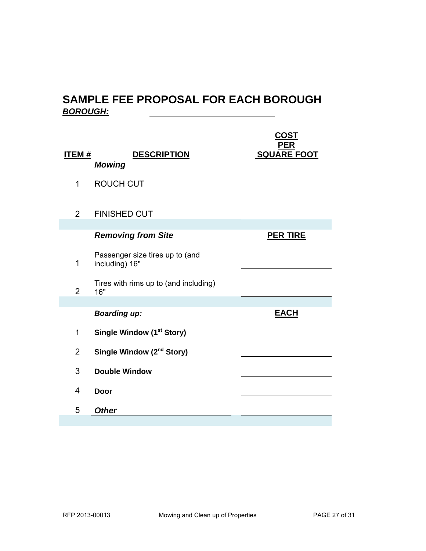### **SAMPLE FEE PROPOSAL FOR EACH BOROUGH**  *BOROUGH:*

| <u>ITEM #</u>  | <b>DESCRIPTION</b><br><b>Mowing</b>               | <u>CO</u> ST<br><b>PER</b><br><b>SQUARE FOOT</b> |
|----------------|---------------------------------------------------|--------------------------------------------------|
| 1              | <b>ROUCH CUT</b>                                  |                                                  |
| $\overline{2}$ | <b>FINISHED CUT</b>                               |                                                  |
|                | <b>Removing from Site</b>                         | <b>PER TIRE</b>                                  |
| 1              | Passenger size tires up to (and<br>including) 16" |                                                  |
| $\overline{2}$ | Tires with rims up to (and including)<br>16"      |                                                  |
|                | <b>Boarding up:</b>                               | <b>EACH</b>                                      |
| 1              | Single Window (1 <sup>st</sup> Story)             |                                                  |
| $\overline{2}$ | Single Window (2 <sup>nd</sup> Story)             |                                                  |
| 3              | <b>Double Window</b>                              |                                                  |
| $\overline{4}$ | <b>Door</b>                                       |                                                  |
| 5              | <b>Other</b>                                      |                                                  |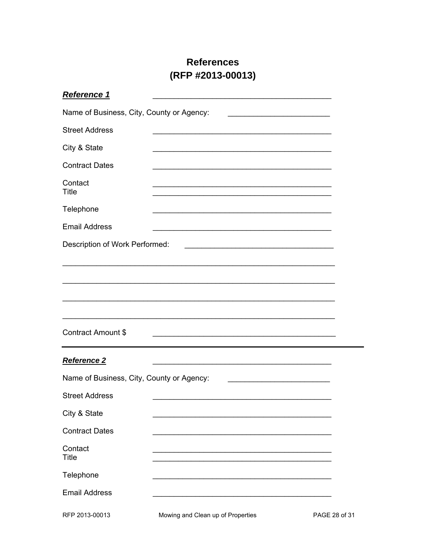### **References** (RFP #2013-00013)

| Reference 1                               |                                                                                           |                                                             |
|-------------------------------------------|-------------------------------------------------------------------------------------------|-------------------------------------------------------------|
| Name of Business, City, County or Agency: |                                                                                           | the control of the control of the control of the control of |
| <b>Street Address</b>                     |                                                                                           |                                                             |
| City & State                              |                                                                                           |                                                             |
| <b>Contract Dates</b>                     |                                                                                           |                                                             |
| Contact<br><b>Title</b>                   |                                                                                           |                                                             |
| Telephone                                 |                                                                                           |                                                             |
| <b>Email Address</b>                      |                                                                                           |                                                             |
| Description of Work Performed:            |                                                                                           |                                                             |
|                                           |                                                                                           |                                                             |
|                                           |                                                                                           |                                                             |
|                                           |                                                                                           |                                                             |
|                                           |                                                                                           |                                                             |
| <b>Contract Amount \$</b>                 |                                                                                           |                                                             |
| Reference 2                               |                                                                                           |                                                             |
| Name of Business, City, County or Agency: |                                                                                           |                                                             |
| <b>Street Address</b>                     | the control of the control of the control of the control of the control of the control of |                                                             |
| City & State                              |                                                                                           |                                                             |
| <b>Contract Dates</b>                     |                                                                                           |                                                             |
| Contact<br><b>Title</b>                   |                                                                                           |                                                             |
| Telephone                                 |                                                                                           |                                                             |
| <b>Email Address</b>                      |                                                                                           |                                                             |
| RFP 2013-00013                            | Mowing and Clean up of Properties                                                         | PAGE 28 of 31                                               |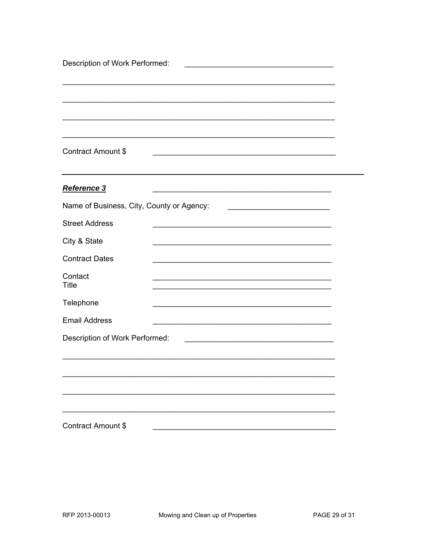| Description of Work Performed:            |                                                      |  |  |
|-------------------------------------------|------------------------------------------------------|--|--|
|                                           |                                                      |  |  |
|                                           |                                                      |  |  |
|                                           |                                                      |  |  |
|                                           |                                                      |  |  |
| <b>Contract Amount \$</b>                 |                                                      |  |  |
| Reference 3                               |                                                      |  |  |
| Name of Business, City, County or Agency: |                                                      |  |  |
| <b>Street Address</b>                     | <u> 2002 - Johann John Stone, mars et al. (2003)</u> |  |  |
|                                           |                                                      |  |  |
| City & State                              |                                                      |  |  |
| <b>Contract Dates</b>                     |                                                      |  |  |
| Contact<br><b>Title</b>                   |                                                      |  |  |
| Telephone                                 |                                                      |  |  |
| <b>Email Address</b>                      |                                                      |  |  |
| Description of Work Performed:            |                                                      |  |  |
|                                           |                                                      |  |  |
|                                           |                                                      |  |  |
|                                           |                                                      |  |  |
|                                           |                                                      |  |  |
|                                           |                                                      |  |  |
| Contract Amount \$                        |                                                      |  |  |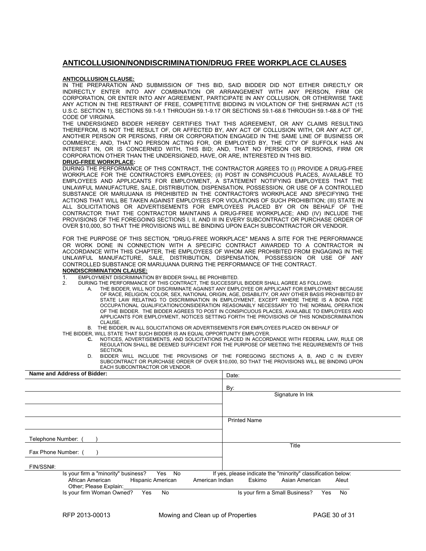#### **ANTICOLLUSION/NONDISCRIMINATION/DRUG FREE WORKPLACE CLAUSES**

#### **ANTICOLLUSION CLAUSE:**

IN THE PREPARATION AND SUBMISSION OF THIS BID, SAID BIDDER DID NOT EITHER DIRECTLY OR INDIRECTLY ENTER INTO ANY COMBINATION OR ARRANGEMENT WITH ANY PERSON, FIRM OR CORPORATION, OR ENTER INTO ANY AGREEMENT, PARTICIPATE IN ANY COLLUSION, OR OTHERWISE TAKE ANY ACTION IN THE RESTRAINT OF FREE, COMPETITIVE BIDDING IN VIOLATION OF THE SHERMAN ACT (15 U.S.C. SECTION 1), SECTIONS 59.1-9.1 THROUGH 59.1-9.17 OR SECTIONS 59.1-68.6 THROUGH 59.1-68.8 OF THE CODE OF VIRGINIA.

THE UNDERSIGNED BIDDER HEREBY CERTIFIES THAT THIS AGREEMENT, OR ANY CLAIMS RESULTING THEREFROM, IS NOT THE RESULT OF, OR AFFECTED BY, ANY ACT OF COLLUSION WITH, OR ANY ACT OF, ANOTHER PERSON OR PERSONS, FIRM OR CORPORATION ENGAGED IN THE SAME LINE OF BUSINESS OR COMMERCE; AND, THAT NO PERSON ACTING FOR, OR EMPLOYED BY, THE CITY OF SUFFOLK HAS AN INTEREST IN, OR IS CONCERNED WITH, THIS BID; AND, THAT NO PERSON OR PERSONS, FIRM OR CORPORATION OTHER THAN THE UNDERSIGNED, HAVE, OR ARE, INTERESTED IN THIS BID.

#### **DRUG-FREE WORKPLACE:**

DURING THE PERFORMANCE OF THIS CONTRACT, THE CONTRACTOR AGREES TO (I) PROVIDE A DRUG-FREE WORKPLACE FOR THE CONTRACTOR'S EMPLOYEES; (II) POST IN CONSPICUOUS PLACES, AVAILABLE TO EMPLOYEES AND APPLICANTS FOR EMPLOYMENT, A STATEMENT NOTIFYING EMPLOYEES THAT THE UNLAWFUL MANUFACTURE, SALE, DISTRIBUTION, DISPENSATION, POSSESSION, OR USE OF A CONTROLLED SUBSTANCE OR MARIJUANA IS PROHIBITED IN THE CONTRACTOR'S WORKPLACE AND SPECIFYING THE ACTIONS THAT WILL BE TAKEN AGAINST EMPLOYEES FOR VIOLATIONS OF SUCH PROHIBITION; (III) STATE IN ALL SOLICITATIONS OR ADVERTISEMENTS FOR EMPLOYEES PLACED BY OR ON BEHALF OF THE CONTRACTOR THAT THE CONTRACTOR MAINTAINS A DRUG-FREE WORKPLACE; AND (IV) INCLUDE THE PROVISIONS OF THE FOREGOING SECTIONS I, II, AND III IN EVERY SUBCONTRACT OR PURCHASE ORDER OF OVER \$10,000, SO THAT THE PROVISIONS WILL BE BINDING UPON EACH SUBCONTRACTOR OR VENDOR.

FOR THE PURPOSE OF THIS SECTION, "DRUG-FREE WORKPLACE" MEANS A SITE FOR THE PERFORMANCE OR WORK DONE IN CONNECTION WITH A SPECIFIC CONTRACT AWARDED TO A CONTRACTOR IN ACCORDANCE WITH THIS CHAPTER, THE EMPLOYEES OF WHOM ARE PROHIBITED FROM ENGAGING IN THE UNLAWFUL MANUFACTURE, SALE, DISTRIBUTION, DISPENSATION, POSSESSION OR USE OF ANY CONTROLLED SUBSTANCE OR MARIJUANA DURING THE PERFORMANCE OF THE CONTRACT.

#### **NONDISCRIMINATION CLAUSE:**

- 1. EMPLOYMENT DISCRIMINATION BY BIDDER SHALL BE PROHIBITED.<br>2 DURING THE PERFORMANCE OF THIS CONTRACT THE SUCCESSEL
	- 2. DURING THE PERFORMANCE OF THIS CONTRACT, THE SUCCESSFUL BIDDER SHALL AGREE AS FOLLOWS:
		- A. THE BIDDER, WILL NOT DISCRIMINATE AGAINST ANY EMPLOYEE OR APPLICANT FOR EMPLOYMENT BECAUSE OF RACE, RELIGION, COLOR, SEX, NATIONAL ORIGIN, AGE, DISABILITY, OR ANY OTHER BASIS PROHIBITED BY STATE LAW RELATING TO DISCRIMINATION IN EMPLOYMENT, EXCEPT WHERE THERE IS A BONA FIDE OCCUPATIONAL QUALIFICATION/CONSIDERATION REASONABLY NECESSARY TO THE NORMAL OPERATION OF THE BIDDER. THE BIDDER AGREES TO POST IN CONSPICUOUS PLACES, AVAILABLE TO EMPLOYEES AND APPLICANTS FOR EMPLOYMENT, NOTICES SETTING FORTH THE PROVISIONS OF THIS NONDISCRIMINATION CLAUSE.

B. THE BIDDER, IN ALL SOLICITATIONS OR ADVERTISEMENTS FOR EMPLOYEES PLACED ON BEHALF OF

THE BIDDER, WILL STATE THAT SUCH BIDDER IS AN EQUAL OPPORTUNITY EMPLOYER.

- **C.** NOTICES, ADVERTISEMENTS, AND SOLICITATIONS PLACED IN ACCORDANCE WITH FEDERAL LAW, RULE OR REGULATION SHALL BE DEEMED SUFFICIENT FOR THE PURPOSE OF MEETING THE REQUIREMENTS OF THIS **SECTION**
- D. BIDDER WILL INCLUDE THE PROVISIONS OF THE FOREGOING SECTIONS A, B, AND C IN EVERY SUBCONTRACT OR PURCHASE ORDER OF OVER \$10,000, SO THAT THE PROVISIONS WILL BE BINDING UPON EACH SUBCONTRACTOR OR VENDOR.

| Name and Address of Bidder:                                                                                                         | Date:                                                                                             |
|-------------------------------------------------------------------------------------------------------------------------------------|---------------------------------------------------------------------------------------------------|
|                                                                                                                                     | By:                                                                                               |
|                                                                                                                                     | Signature In Ink                                                                                  |
|                                                                                                                                     |                                                                                                   |
|                                                                                                                                     | <b>Printed Name</b>                                                                               |
| Telephone Number:                                                                                                                   |                                                                                                   |
| Fax Phone Number: (                                                                                                                 | Title                                                                                             |
| FIN/SSN#:                                                                                                                           |                                                                                                   |
| Is your firm a "minority" business?<br>Yes No<br>African American<br>Hispanic American<br>American Indian<br>Other; Please Explain: | If yes, please indicate the "minority" classification below:<br>Eskimo<br>Asian American<br>Aleut |
| Is your firm Woman Owned?<br>Yes<br>No                                                                                              | Is your firm a Small Business?<br>No<br>Yes                                                       |